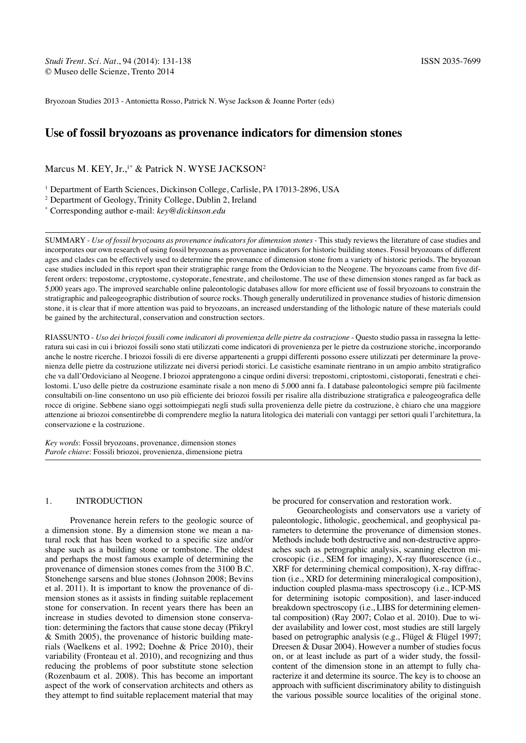Bryozoan Studies 2013 - Antonietta Rosso, Patrick N. Wyse Jackson & Joanne Porter (eds)

# **Use of fossil bryozoans as provenance indicators for dimension stones**

## Marcus M. KEY, Jr.,<sup>1\*</sup> & Patrick N. WYSE JACKSON<sup>2</sup>

<sup>1</sup> Department of Earth Sciences, Dickinson College, Carlisle, PA 17013-2896, USA

2 Department of Geology, Trinity College, Dublin 2, Ireland \* Corresponding author e-mail: *key@dickinson.edu*

SUMMARY - *Use of fossil bryozoans as provenance indicators for dimension stones* - This study reviews the literature of case studies and incorporates our own research of using fossil bryozoans as provenance indicators for historic building stones. Fossil bryozoans of different ages and clades can be effectively used to determine the provenance of dimension stone from a variety of historic periods. The bryozoan case studies included in this report span their stratigraphic range from the Ordovician to the Neogene. The bryozoans came from five different orders: trepostome, cryptostome, cystoporate, fenestrate, and cheilostome. The use of these dimension stones ranged as far back as 5,000 years ago. The improved searchable online paleontologic databases allow for more efficient use of fossil bryozoans to constrain the stratigraphic and paleogeographic distribution of source rocks. Though generally underutilized in provenance studies of historic dimension stone, it is clear that if more attention was paid to bryozoans, an increased understanding of the lithologic nature of these materials could be gained by the architectural, conservation and construction sectors.

RIASSUNTO - *Uso dei briozoi fossili come indicatori di provenienza delle pietre da costruzione* - Questo studio passa in rassegna la letteratura sui casi in cui i briozoi fossili sono stati utilizzati come indicatori di provenienza per le pietre da costruzione storiche, incorporando anche le nostre ricerche. I briozoi fossili di ere diverse appartenenti a gruppi differenti possono essere utilizzati per determinare la provenienza delle pietre da costruzione utilizzate nei diversi periodi storici. Le casistiche esaminate rientrano in un ampio ambito stratigrafico che va dall'Ordoviciano al Neogene. I briozoi appratengono a cinque ordini diversi: trepostomi, criptostomi, cistoporati, fenestrati e cheilostomi. L'uso delle pietre da costruzione esaminate risale a non meno di 5.000 anni fa. I database paleontologici sempre più facilmente consultabili on-line consentono un uso più efficiente dei briozoi fossili per risalire alla distribuzione stratigrafica e paleogeografica delle rocce di origine. Sebbene siano oggi sottoimpiegati negli studi sulla provenienza delle pietre da costruzione, è chiaro che una maggiore attenzione ai briozoi consentirebbe di comprendere meglio la natura litologica dei materiali con vantaggi per settori quali l'architettura, la conservazione e la costruzione.

*Key words*: Fossil bryozoans, provenance, dimension stones *Parole chiave*: Fossili briozoi, provenienza, dimensione pietra

#### 1. Introduction

Provenance herein refers to the geologic source of a dimension stone. By a dimension stone we mean a natural rock that has been worked to a specific size and/or shape such as a building stone or tombstone. The oldest and perhaps the most famous example of determining the provenance of dimension stones comes from the 3100 B.C. Stonehenge sarsens and blue stones (Johnson 2008; Bevins et al. 2011). It is important to know the provenance of dimension stones as it assists in finding suitable replacement stone for conservation. In recent years there has been an increase in studies devoted to dimension stone conservation: determining the factors that cause stone decay (Přikryl & Smith 2005), the provenance of historic building materials (Waelkens et al. 1992; Doehne & Price 2010), their variability (Fronteau et al. 2010), and recognizing and thus reducing the problems of poor substitute stone selection (Rozenbaum et al. 2008). This has become an important aspect of the work of conservation architects and others as they attempt to find suitable replacement material that may be procured for conservation and restoration work.

Geoarcheologists and conservators use a variety of paleontologic, lithologic, geochemical, and geophysical parameters to determine the provenance of dimension stones. Methods include both destructive and non-destructive approaches such as petrographic analysis, scanning electron microscopic (i.e., SEM for imaging), X-ray fluorescence (i.e., XRF for determining chemical composition), X-ray diffraction (i.e., XRD for determining mineralogical composition), induction coupled plasma-mass spectroscopy (i.e., ICP-MS for determining isotopic composition), and laser-induced breakdown spectroscopy (i.e., LIBS for determining elemental composition) (Ray 2007; Colao et al. 2010). Due to wider availability and lower cost, most studies are still largely based on petrographic analysis (e.g., Flügel & Flügel 1997; Dreesen & Dusar 2004). However a number of studies focus on, or at least include as part of a wider study, the fossilcontent of the dimension stone in an attempt to fully characterize it and determine its source. The key is to choose an approach with sufficient discriminatory ability to distinguish the various possible source localities of the original stone.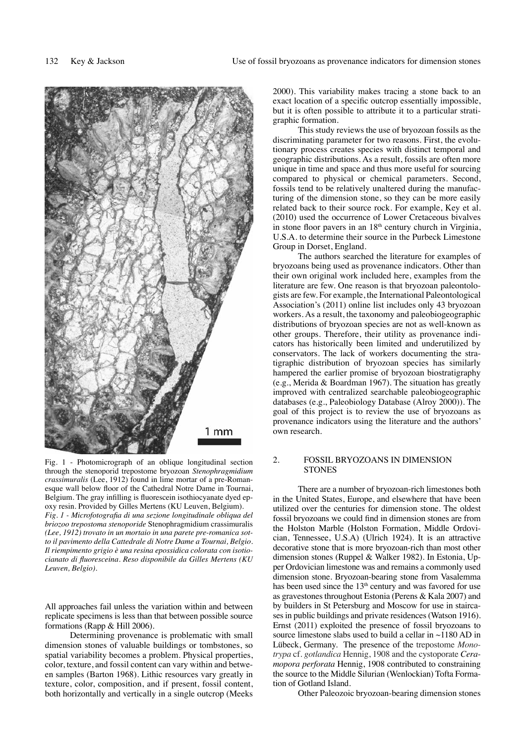

Fig. 1 - Photomicrograph of an oblique longitudinal section through the stenoporid trepostome bryozoan *Stenophragmidium crassimuralis* (Lee, 1912) found in lime mortar of a pre-Romanesque wall below floor of the Cathedral Notre Dame in Tournai, Belgium. The gray infilling is fluorescein isothiocyanate dyed epoxy resin. Provided by Gilles Mertens (KU Leuven, Belgium). *Fig. 1 - Microfotografia di una sezione longitudinale obliqua del briozoo trepostoma stenoporide* Stenophragmidium crassimuralis *(Lee, 1912) trovato in un mortaio in una parete pre-romanica sotto il pavimento della Cattedrale di Notre Dame a Tournai, Belgio. Il riempimento grigio è una resina epossidica colorata con isotiocianato di fluoresceina. Reso disponibile da Gilles Mertens (KU Leuven, Belgio).*

All approaches fail unless the variation within and between replicate specimens is less than that between possible source formations (Rapp & Hill 2006).

Determining provenance is problematic with small dimension stones of valuable buildings or tombstones, so spatial variability becomes a problem. Physical properties, color, texture, and fossil content can vary within and between samples (Barton 1968). Lithic resources vary greatly in texture, color, composition, and if present, fossil content, both horizontally and vertically in a single outcrop (Meeks

2000). This variability makes tracing a stone back to an exact location of a specific outcrop essentially impossible, but it is often possible to attribute it to a particular stratigraphic formation.

This study reviews the use of bryozoan fossils as the discriminating parameter for two reasons. First, the evolutionary process creates species with distinct temporal and geographic distributions. As a result, fossils are often more unique in time and space and thus more useful for sourcing compared to physical or chemical parameters. Second, fossils tend to be relatively unaltered during the manufacturing of the dimension stone, so they can be more easily related back to their source rock. For example, Key et al. (2010) used the occurrence of Lower Cretaceous bivalves in stone floor pavers in an  $18<sup>th</sup>$  century church in Virginia, U.S.A. to determine their source in the Purbeck Limestone Group in Dorset, England.

The authors searched the literature for examples of bryozoans being used as provenance indicators. Other than their own original work included here, examples from the literature are few. One reason is that bryozoan paleontologists are few. For example, the International Paleontological Association's (2011) online list includes only 43 bryozoan workers. As a result, the taxonomy and paleobiogeographic distributions of bryozoan species are not as well-known as other groups. Therefore, their utility as provenance indicators has historically been limited and underutilized by conservators. The lack of workers documenting the stratigraphic distribution of bryozoan species has similarly hampered the earlier promise of bryozoan biostratigraphy (e.g., Merida & Boardman 1967). The situation has greatly improved with centralized searchable paleobiogeographic databases (e.g., Paleobiology Database (Alroy 2000)). The goal of this project is to review the use of bryozoans as provenance indicators using the literature and the authors' own research.

#### 2. fossil bryozoans IN DIMENSION **STONES**

There are a number of bryozoan-rich limestones both in the United States, Europe, and elsewhere that have been utilized over the centuries for dimension stone. The oldest fossil bryozoans we could find in dimension stones are from the Holston Marble (Holston Formation, Middle Ordovician, Tennessee, U.S.A) (Ulrich 1924). It is an attractive decorative stone that is more bryozoan-rich than most other dimension stones (Ruppel & Walker 1982). In Estonia, Upper Ordovician limestone was and remains a commonly used dimension stone. Bryozoan-bearing stone from Vasalemma has been used since the 13<sup>th</sup> century and was favored for use as gravestones throughout Estonia (Perens & Kala 2007) and by builders in St Petersburg and Moscow for use in staircases in public buildings and private residences (Watson 1916). Ernst (2011) exploited the presence of fossil bryozoans to source limestone slabs used to build a cellar in  $\sim$ 1180 AD in Lübeck, Germany. The presence of the trepostome *Monotrypa* cf. *gotlandica* Hennig, 1908 and the cystoporate *Ceramopora perforata* Hennig, 1908 contributed to constraining the source to the Middle Silurian (Wenlockian) Tofta Formation of Gotland Island.

Other Paleozoic bryozoan-bearing dimension stones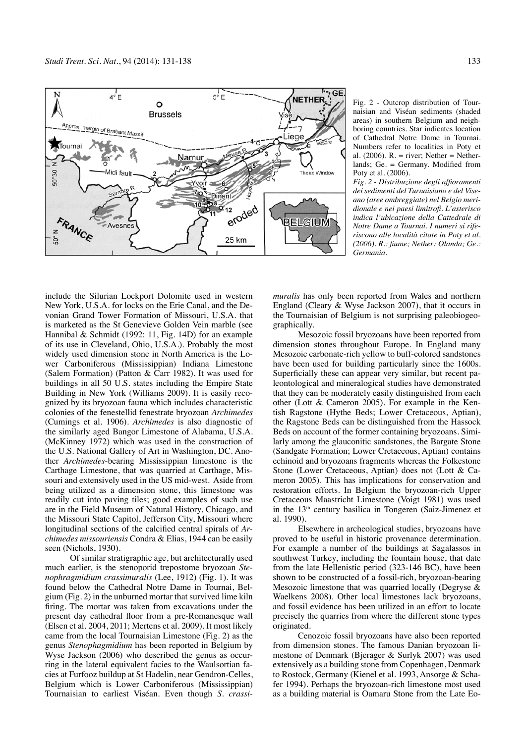

Fig. 2 - Outcrop distribution of Tournaisian and Viséan sediments (shaded areas) in southern Belgium and neighboring countries. Star indicates location of Cathedral Notre Dame in Tournai. Numbers refer to localities in Poty et al. (2006).  $R =$  river; Nether = Netherlands; Ge. = Germany. Modified from Poty et al. (2006).

*Fig. 2 - Distribuzione degli affioramenti dei sedimenti del Turnaisiano e del Viseano (aree ombreggiate) nel Belgio meridionale e nei paesi limitrofi. L'asterisco indica l'ubicazione della Cattedrale di Notre Dame a Tournai. I numeri si riferiscono alle località citate in Poty et al. (2006). R.: fiume; Nether: Olanda; Ge.: Germania.*

include the Silurian Lockport Dolomite used in western New York, U.S.A. for locks on the Erie Canal, and the Devonian Grand Tower Formation of Missouri, U.S.A. that is marketed as the St Genevieve Golden Vein marble (see Hannibal & Schmidt (1992: 11, Fig. 14D) for an example of its use in Cleveland, Ohio, U.S.A.). Probably the most widely used dimension stone in North America is the Lower Carboniferous (Mississippian) Indiana Limestone (Salem Formation) (Patton & Carr 1982). It was used for buildings in all 50 U.S. states including the Empire State Building in New York (Williams 2009). It is easily recognized by its bryozoan fauna which includes characteristic colonies of the fenestellid fenestrate bryozoan *Archimedes* (Cumings et al. 1906). *Archimedes* is also diagnostic of the similarly aged Bangor Limestone of Alabama, U.S.A. (McKinney 1972) which was used in the construction of the U.S. National Gallery of Art in Washington, DC. Another *Archimedes*-bearing Mississippian limestone is the Carthage Limestone, that was quarried at Carthage, Missouri and extensively used in the US mid-west. Aside from being utilized as a dimension stone, this limestone was readily cut into paving tiles; good examples of such use are in the Field Museum of Natural History, Chicago, and the Missouri State Capitol, Jefferson City, Missouri where longitudinal sections of the calcified central spirals of *Archimedes missouriensis* Condra & Elias, 1944 can be easily seen (Nichols, 1930).

Of similar stratigraphic age, but architecturally used much earlier, is the stenoporid trepostome bryozoan *Stenophragmidium crassimuralis* (Lee, 1912) (Fig. 1). It was found below the Cathedral Notre Dame in Tournai, Belgium (Fig. 2) in the unburned mortar that survived lime kiln firing. The mortar was taken from excavations under the present day cathedral floor from a pre-Romanesque wall (Elsen et al. 2004, 2011; Mertens et al. 2009). It most likely came from the local Tournaisian Limestone (Fig. 2) as the genus *Stenophagmidium* has been reported in Belgium by Wyse Jackson (2006) who described the genus as occurring in the lateral equivalent facies to the Waulsortian facies at Furfooz buildup at St Hadelin, near Gendron-Celles, Belgium which is Lower Carboniferous (Mississippian) Tournaisian to earliest Viséan. Even though *S. crassi-* *muralis* has only been reported from Wales and northern England (Cleary & Wyse Jackson 2007), that it occurs in the Tournaisian of Belgium is not surprising paleobiogeographically.

Mesozoic fossil bryozoans have been reported from dimension stones throughout Europe. In England many Mesozoic carbonate-rich yellow to buff-colored sandstones have been used for building particularly since the 1600s. Superficially these can appear very similar, but recent paleontological and mineralogical studies have demonstrated that they can be moderately easily distinguished from each other (Lott & Cameron 2005). For example in the Kentish Ragstone (Hythe Beds; Lower Cretaceous, Aptian), the Ragstone Beds can be distinguished from the Hassock Beds on account of the former containing bryozoans. Similarly among the glauconitic sandstones, the Bargate Stone (Sandgate Formation; Lower Cretaceous, Aptian) contains echinoid and bryozoans fragments whereas the Folkestone Stone (Lower Cretaceous, Aptian) does not (Lott & Cameron 2005). This has implications for conservation and restoration efforts. In Belgium the bryozoan-rich Upper Cretaceous Maastricht Limestone (Voigt 1981) was used in the 13<sup>th</sup> century basilica in Tongeren (Saiz-Jimenez et al. 1990).

Elsewhere in archeological studies, bryozoans have proved to be useful in historic provenance determination. For example a number of the buildings at Sagalassos in southwest Turkey, including the fountain house, that date from the late Hellenistic period (323-146 BC), have been shown to be constructed of a fossil-rich, bryozoan-bearing Mesozoic limestone that was quarried locally (Degryse & Waelkens 2008). Other local limestones lack bryozoans, and fossil evidence has been utilized in an effort to locate precisely the quarries from where the different stone types originated.

Cenozoic fossil bryozoans have also been reported from dimension stones. The famous Danian bryozoan limestone of Denmark (Bjerager & Surlyk 2007) was used extensively as a building stone from Copenhagen, Denmark to Rostock, Germany (Kienel et al. 1993, Ansorge & Schafer 1994). Perhaps the bryozoan-rich limestone most used as a building material is Oamaru Stone from the Late Eo-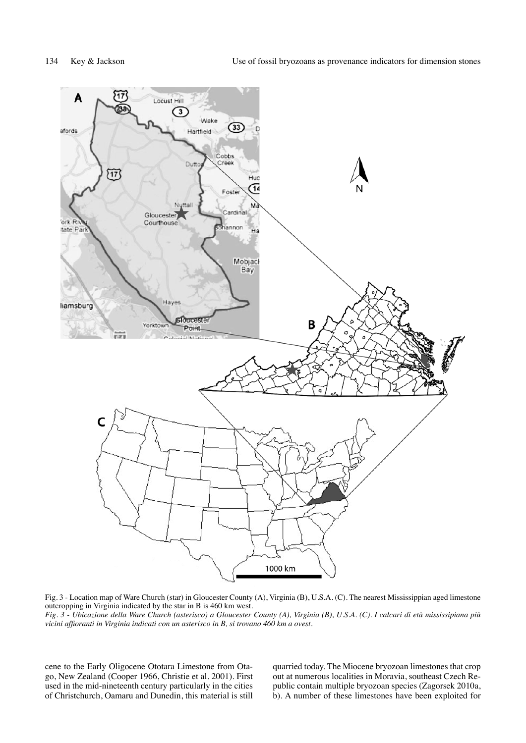

Fig. 3 - Location map of Ware Church (star) in Gloucester County (A), Virginia (B), U.S.A. (C). The nearest Mississippian aged limestone outcropping in Virginia indicated by the star in B is 460 km west.

*Fig. 3 - Ubicazione della Ware Church (asterisco) a Gloucester County (A), Virginia (B), U.S.A. (C). I calcari di età mississipiana più vicini affioranti in Virginia indicati con un asterisco in B, si trovano 460 km a ovest.*

cene to the Early Oligocene Ototara Limestone from Otago, New Zealand (Cooper 1966, Christie et al. 2001). First used in the mid-nineteenth century particularly in the cities of Christchurch, Oamaru and Dunedin, this material is still

quarried today. The Miocene bryozoan limestones that crop out at numerous localities in Moravia, southeast Czech Republic contain multiple bryozoan species (Zagorsek 2010a, b). A number of these limestones have been exploited for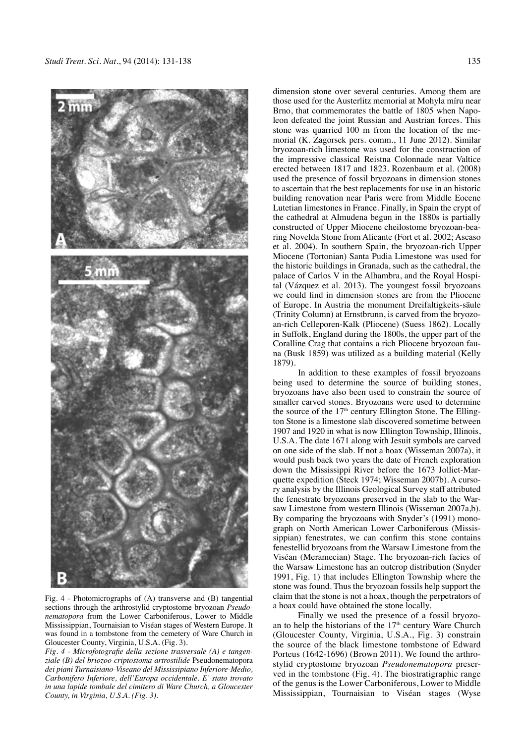

Fig. 4 - Photomicrographs of (A) transverse and (B) tangential sections through the arthrostylid cryptostome bryozoan *Pseudonematopora* from the Lower Carboniferous, Lower to Middle Mississippian, Tournaisian to Viséan stages of Western Europe. It was found in a tombstone from the cemetery of Ware Church in Gloucester County, Virginia, U.S.A. (Fig. 3).

*Fig. 4 - Microfotografie della sezione trasversale (A) e tangenziale (B) del briozoo criptostoma artrostilide* Pseudonematopora *dei piani Turnaisiano-Viseano del Mississipiano Inferiore-Medio, Carbonifero Inferiore, dell'Europa occidentale. E' stato trovato in una lapide tombale del cimitero di Ware Church, a Gloucester County, in Virginia, U.S.A. (Fig. 3).*

dimension stone over several centuries. Among them are those used for the Austerlitz memorial at Mohyla míru near Brno, that commemorates the battle of 1805 when Napoleon defeated the joint Russian and Austrian forces. This stone was quarried 100 m from the location of the memorial (K. Zagorsek pers. comm., 11 June 2012). Similar bryozoan-rich limestone was used for the construction of the impressive classical Reistna Colonnade near Valtice erected between 1817 and 1823. Rozenbaum et al. (2008) used the presence of fossil bryozoans in dimension stones to ascertain that the best replacements for use in an historic building renovation near Paris were from Middle Eocene Lutetian limestones in France. Finally, in Spain the crypt of the cathedral at Almudena begun in the 1880s is partially constructed of Upper Miocene cheilostome bryozoan-bearing Novelda Stone from Alicante (Fort et al. 2002; Ascaso et al. 2004). In southern Spain, the bryozoan-rich Upper Miocene (Tortonian) Santa Pudia Limestone was used for the historic buildings in Granada, such as the cathedral, the palace of Carlos V in the Alhambra, and the Royal Hospital (Vázquez et al. 2013). The youngest fossil bryozoans we could find in dimension stones are from the Pliocene of Europe. In Austria the monument Dreifaltigkeits-säule (Trinity Column) at Ernstbrunn, is carved from the bryozoan-rich Celleporen-Kalk (Pliocene) (Suess 1862). Locally in Suffolk, England during the 1800s, the upper part of the Coralline Crag that contains a rich Pliocene bryozoan fauna (Busk 1859) was utilized as a building material (Kelly 1879).

In addition to these examples of fossil bryozoans being used to determine the source of building stones, bryozoans have also been used to constrain the source of smaller carved stones. Bryozoans were used to determine the source of the  $17<sup>th</sup>$  century Ellington Stone. The Ellington Stone is a limestone slab discovered sometime between 1907 and 1920 in what is now Ellington Township, Illinois, U.S.A. The date 1671 along with Jesuit symbols are carved on one side of the slab. If not a hoax (Wisseman 2007a), it would push back two years the date of French exploration down the Mississippi River before the 1673 Jolliet-Marquette expedition (Steck 1974; Wisseman 2007b). A cursory analysis by the Illinois Geological Survey staff attributed the fenestrate bryozoans preserved in the slab to the Warsaw Limestone from western Illinois (Wisseman 2007a,b). By comparing the bryozoans with Snyder's (1991) monograph on North American Lower Carboniferous (Mississippian) fenestrates, we can confirm this stone contains fenestellid bryozoans from the Warsaw Limestone from the Viséan (Meramecian) Stage. The bryozoan-rich facies of the Warsaw Limestone has an outcrop distribution (Snyder 1991, Fig. 1) that includes Ellington Township where the stone was found. Thus the bryozoan fossils help support the claim that the stone is not a hoax, though the perpetrators of a hoax could have obtained the stone locally.

Finally we used the presence of a fossil bryozoan to help the historians of the 17<sup>th</sup> century Ware Church (Gloucester County, Virginia, U.S.A., Fig. 3) constrain the source of the black limestone tombstone of Edward Porteus (1642-1696) (Brown 2011). We found the arthrostylid cryptostome bryozoan *Pseudonematopora* preserved in the tombstone (Fig. 4). The biostratigraphic range of the genus is the Lower Carboniferous, Lower to Middle Mississippian, Tournaisian to Viséan stages (Wyse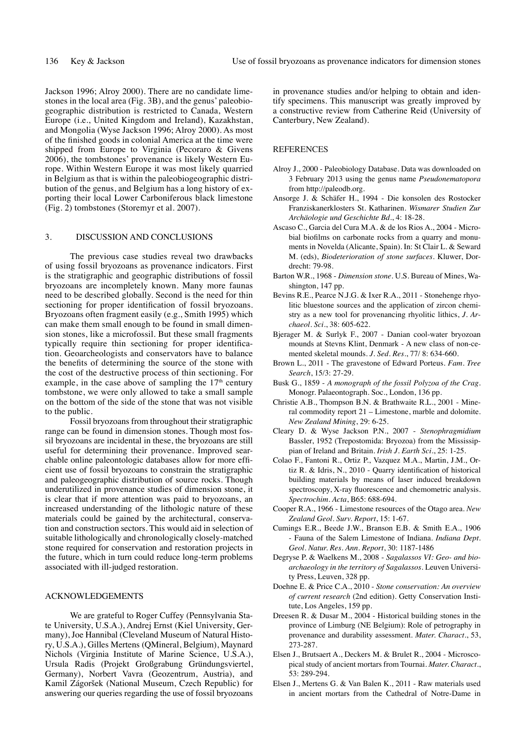Jackson 1996; Alroy 2000). There are no candidate limestones in the local area (Fig. 3B), and the genus' paleobiogeographic distribution is restricted to Canada, Western Europe (i.e., United Kingdom and Ireland), Kazakhstan, and Mongolia (Wyse Jackson 1996; Alroy 2000). As most of the finished goods in colonial America at the time were shipped from Europe to Virginia (Pecoraro & Givens 2006), the tombstones' provenance is likely Western Europe. Within Western Europe it was most likely quarried in Belgium as that is within the paleobiogeographic distribution of the genus, and Belgium has a long history of exporting their local Lower Carboniferous black limestone (Fig. 2) tombstones (Storemyr et al. 2007).

### 3. DISCUSSION AND CONCLUSIONS

The previous case studies reveal two drawbacks of using fossil bryozoans as provenance indicators. First is the stratigraphic and geographic distributions of fossil bryozoans are incompletely known. Many more faunas need to be described globally. Second is the need for thin sectioning for proper identification of fossil bryozoans. Bryozoans often fragment easily (e.g., Smith 1995) which can make them small enough to be found in small dimension stones, like a microfossil. But these small fragments typically require thin sectioning for proper identification. Geoarcheologists and conservators have to balance the benefits of determining the source of the stone with the cost of the destructive process of thin sectioning. For example, in the case above of sampling the  $17<sup>th</sup>$  century tombstone, we were only allowed to take a small sample on the bottom of the side of the stone that was not visible to the public.

Fossil bryozoans from throughout their stratigraphic range can be found in dimension stones. Though most fossil bryozoans are incidental in these, the bryozoans are still useful for determining their provenance. Improved searchable online paleontologic databases allow for more efficient use of fossil bryozoans to constrain the stratigraphic and paleogeographic distribution of source rocks. Though underutilized in provenance studies of dimension stone, it is clear that if more attention was paid to bryozoans, an increased understanding of the lithologic nature of these materials could be gained by the architectural, conservation and construction sectors. This would aid in selection of suitable lithologically and chronologically closely-matched stone required for conservation and restoration projects in the future, which in turn could reduce long-term problems associated with ill-judged restoration.

#### Acknowledgements

We are grateful to Roger Cuffey (Pennsylvania State University, U.S.A.), Andrej Ernst (Kiel University, Germany), Joe Hannibal (Cleveland Museum of Natural History, U.S.A.), Gilles Mertens (QMineral, Belgium), Maynard Nichols (Virginia Institute of Marine Science, U.S.A.), Ursula Radis (Projekt Großgrabung Gründungsviertel, Germany), Norbert Vavra (Geozentrum, Austria), and Kamil Zágoršek (National Museum, Czech Republic) for answering our queries regarding the use of fossil bryozoans

in provenance studies and/or helping to obtain and identify specimens. This manuscript was greatly improved by a constructive review from Catherine Reid (University of Canterbury, New Zealand).

#### **REFERENCES**

- Alroy J., 2000 Paleobiology Database. Data was downloaded on 3 February 2013 using the genus name *Pseudonematopora* from http://paleodb.org.
- Ansorge J. & Schäfer H., 1994 Die konsolen des Rostocker Franziskanerklosters St. Katharinen. *Wismarer Studien Zur Archäologie und Geschichte Bd*., 4: 18-28.
- Ascaso C., Garcia del Cura M.A. & de los Rios A., 2004 Microbial biofilms on carbonate rocks from a quarry and monuments in Novelda (Alicante, Spain). In: St Clair L. & Seward M. (eds), *Biodeterioration of stone surfaces*. Kluwer, Dordrecht: 79-98.
- Barton W.R., 1968 *Dimension stone*. U.S. Bureau of Mines, Washington, 147 pp.
- Bevins R.E., Pearce N.J.G. & Ixer R.A., 2011 Stonehenge rhyolitic bluestone sources and the application of zircon chemistry as a new tool for provenancing rhyolitic lithics, *J. Archaeol. Sci.*, 38: 605-622.
- Bjerager M. & Surlyk F., 2007 Danian cool-water bryozoan mounds at Stevns Klint, Denmark - A new class of non-cemented skeletal mounds. *J. Sed. Res.*, 77/ 8: 634-660.
- Brown L., 2011 The gravestone of Edward Porteus. *Fam. Tree Search*, 15/3: 27-29.
- Busk G., 1859 *A monograph of the fossil Polyzoa of the Crag*. Monogr. Palaeontograph. Soc., London, 136 pp.
- Christie A.B., Thompson B.N. & Brathwaite R.L., 2001 Mineral commodity report 21 – Limestone, marble and dolomite. *New Zealand Mining*, 29: 6-25.
- Cleary D. & Wyse Jackson P.N., 2007 *Stenophragmidium* Bassler, 1952 (Trepostomida: Bryozoa) from the Mississippian of Ireland and Britain. *Irish J. Earth Sci.*, 25: 1-25.
- Colao F., Fantoni R., Ortiz P., Vazquez M.A., Martin, J.M., Ortiz R. & Idris, N., 2010 - Quarry identification of historical building materials by means of laser induced breakdown spectroscopy, X-ray fluorescence and chemometric analysis. *Spectrochim. Acta*, B65: 688-694.
- Cooper R.A., 1966 Limestone resources of the Otago area. *New Zealand Geol. Surv. Report*, 15: 1-67.
- Cumings E.R., Beede J.W., Branson E.B. & Smith E.A., 1906 - Fauna of the Salem Limestone of Indiana. *Indiana Dept. Geol. Natur. Res. Ann. Report*, 30: 1187-1486
- Degryse P. & Waelkens M., 2008 *Sagalassos VI: Geo- and bioarchaeology in the territory of Sagalassos*. Leuven University Press, Leuven, 328 pp.
- Doehne E. & Price C.A., 2010 *Stone conservation: An overview of current research* (2nd edition). Getty Conservation Institute, Los Angeles, 159 pp.
- Dreesen R. & Dusar M., 2004 Historical building stones in the province of Limburg (NE Belgium): Role of petrography in provenance and durability assessment. *Mater. Charact.*, 53, 273-287.
- Elsen J., Brutsaert A., Deckers M. & Brulet R., 2004 Microscopical study of ancient mortars from Tournai. *Mater. Charact.*, 53: 289-294.
- Elsen J., Mertens G. & Van Balen K., 2011 Raw materials used in ancient mortars from the Cathedral of Notre-Dame in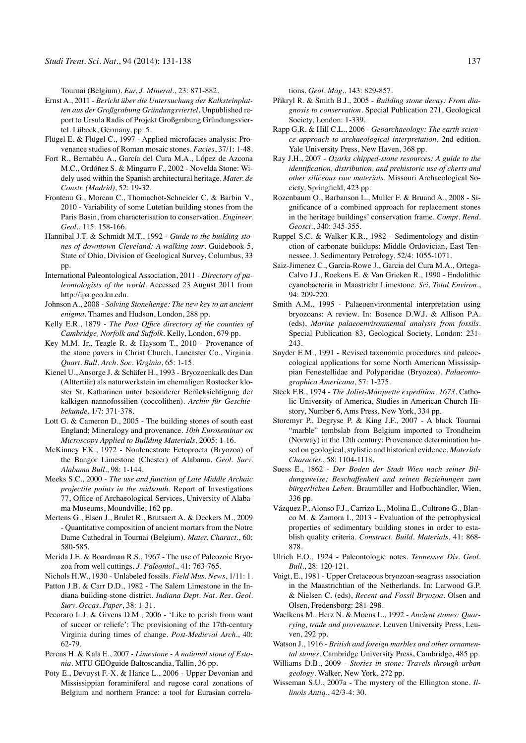Tournai (Belgium). *Eur. J. Mineral.*, 23: 871-882.

- Ernst A., 2011 *Bericht über die Untersuchung der Kalksteinplatten aus der Großgrabung Gründungsviertel*. Unpublished report to Ursula Radis of Projekt Großgrabung Gründungsviertel. Lübeck, Germany, pp. 5.
- Flügel E. & Flügel C., 1997 Applied microfacies analysis: Provenance studies of Roman mosaic stones. *Facies*, 37/1: 1-48.
- Fort R., Bernabéu A., García del Cura M.A., López de Azcona M.C., Ordóñez S. & Mingarro F., 2002 - Novelda Stone: Widely used within the Spanish architectural heritage. *Mater. de Constr. (Madrid)*, 52: 19-32.
- Fronteau G., Moreau C., Thomachot-Schneider C. & Barbin V., 2010 - Variability of some Lutetian building stones from the Paris Basin, from characterisation to conservation. *Engineer. Geol.*, 115: 158-166.
- Hannibal J.T. & Schmidt M.T., 1992 *Guide to the building stones of downtown Cleveland: A walking tour*. Guidebook 5, State of Ohio, Division of Geological Survey, Columbus, 33 pp.
- International Paleontological Association, 2011 *Directory of paleontologists of the world*. Accessed 23 August 2011 from http://ipa.geo.ku.edu.
- Johnson A., 2008 *Solving Stonehenge: The new key to an ancient enigma*. Thames and Hudson, London, 288 pp.
- Kelly E.R., 1879 *The Post Office directory of the counties of Cambridge, Norfolk and Suffolk*. Kelly, London, 679 pp.
- Key M.M. Jr., Teagle R. & Haysom T., 2010 Provenance of the stone pavers in Christ Church, Lancaster Co., Virginia. *Quart. Bull. Arch. Soc. Virginia*, 65: 1-15.
- Kienel U., Ansorge J. & Schäfer H., 1993 Bryozoenkalk des Dan (Alttertiär) als naturwerkstein im ehemaligen Rostocker kloster St. Katharinen unter besonderer Berücksichtigung der kalkigen nannofossilien (coccolithen). *Archiv für Geschiebekunde*, 1/7: 371-378.
- Lott G. & Cameron D., 2005 The building stones of south east England; Mineralogy and provenance. *10th Euroseminar on Microscopy Applied to Building Materials,* 2005: 1-16.
- McKinney F.K., 1972 Nonfenestrate Ectoprocta (Bryozoa) of the Bangor Limestone (Chester) of Alabama. *Geol. Surv. Alabama Bull.*, 98: 1-144.
- Meeks S.C., 2000 *The use and function of Late Middle Archaic projectile points in the midsouth*. Report of Investigations 77, Office of Archaeological Services, University of Alabama Museums, Moundville, 162 pp.
- Mertens G., Elsen J., Brulet R., Brutsaert A. & Deckers M., 2009 - Quantitative composition of ancient mortars from the Notre Dame Cathedral in Tournai (Belgium). *Mater. Charact.*, 60: 580-585.
- Merida J.E. & Boardman R.S., 1967 The use of Paleozoic Bryozoa from well cuttings. *J. Paleontol.*, 41: 763-765.
- Nichols H.W., 1930 Unlabeled fossils. *Field Mus. News*, 1/11: 1.
- Patton J.B. & Carr D.D., 1982 The Salem Limestone in the Indiana building-stone district. *Indiana Dept. Nat. Res. Geol. Surv. Occas. Paper*, 38: 1-31.
- Pecoraro L.J. & Givens D.M., 2006 'Like to perish from want of succor or reliefe': The provisioning of the 17th-century Virginia during times of change. *Post-Medieval Arch.*, 40: 62-79.
- Perens H. & Kala E., 2007 *Limestone A national stone of Estonia*. MTU GEOguide Baltoscandia, Tallin, 36 pp.
- Poty E., Devuyst F.-X. & Hance L., 2006 Upper Devonian and Mississippian foraminiferal and rugose coral zonations of Belgium and northern France: a tool for Eurasian correla-

tions. *Geol. Mag.*, 143: 829-857.

- Přikryl R. & Smith B.J., 2005 *Building stone decay: From diagnosis to conservation*. Special Publication 271, Geological Society, London: 1-339.
- Rapp G.R. & Hill C.L., 2006 *Geoarchaeology: The earth-science approach to archaeological interpretation*, 2nd edition. Yale University Press, New Haven, 368 pp.
- Ray J.H., 2007 *Ozarks chipped-stone resources: A guide to the identification, distribution, and prehistoric use of cherts and other siliceous raw materials*. Missouri Archaeological Society, Springfield, 423 pp.
- Rozenbaum O., Barbanson L., Muller F. & Bruand A., 2008 Significance of a combined approach for replacement stones in the heritage buildings' conservation frame. *Compt. Rend. Geosci.*, 340: 345-355.
- Ruppel S.C. & Walker K.R., 1982 Sedimentology and distinction of carbonate buildups: Middle Ordovician, East Tennessee. J. Sedimentary Petrology. 52/4: 1055-1071.
- Saiz-Jimenez C., Garcia-Rowe J., Garcia del Cura M.A., Ortega-Calvo J.J., Roekens E. & Van Grieken R., 1990 - Endolithic cyanobacteria in Maastricht Limestone. *Sci. Total Environ.*, 94: 209-220.
- Smith A.M., 1995 Palaeoenvironmental interpretation using bryozoans: A review. In: Bosence D.W.J. & Allison P.A. (eds), *Marine palaeoenvironmental analysis from fossils*. Special Publication 83, Geological Society, London: 231- 243.
- Snyder E.M., 1991 Revised taxonomic procedures and paleoecological applications for some North American Mississippian Fenestellidae and Polyporidae (Bryozoa). *Palaeontographica Americana*, 57: 1-275.
- Steck F.B., 1974 *The Joliet-Marquette expedition, 1673*. Catholic University of America, Studies in American Church History, Number 6, Ams Press, New York, 334 pp.
- Storemyr P., Degryse P. & King J.F., 2007 A black Tournai "marble" tombslab from Belgium imported to Trondheim (Norway) in the 12th century: Provenance determination based on geological, stylistic and historical evidence. *Materials Character.*, 58: 1104-1118.
- Suess E., 1862 *Der Boden der Stadt Wien nach seiner Bildungsweise: Beschaffenheit und seinen Beziehungen zum bürgerlichen Leben*. Braumüller and Hofbuchändler, Wien, 336 pp.
- Vázquez P., Alonso F.J., Carrizo L., Molina E., Cultrone G., Blanco M. & Zamora I., 2013 - Evaluation of the petrophysical properties of sedimentary building stones in order to establish quality criteria. *Construct. Build. Materials*, 41: 868- 878.
- Ulrich E.O., 1924 Paleontologic notes. *Tennessee Div. Geol. Bull*., 28: 120-121.
- Voigt, E., 1981 Upper Cretaceous bryozoan-seagrass association in the Maastrichtian of the Netherlands. In: Larwood G.P. & Nielsen C. (eds), *Recent and Fossil Bryozoa*. Olsen and Olsen, Fredensborg: 281-298.
- Waelkens M., Herz N. & Moens L., 1992 *Ancient stones: Quarrying, trade and provenance*. Leuven University Press, Leuven, 292 pp.
- Watson J., 1916 *British and foreign marbles and other ornamental stones*. Cambridge University Press, Cambridge, 485 pp.
- Williams D.B., 2009 *Stories in stone: Travels through urban geology*. Walker, New York, 272 pp.
- Wisseman S.U., 2007a The mystery of the Ellington stone. *Illinois Antiq.*, 42/3-4: 30.